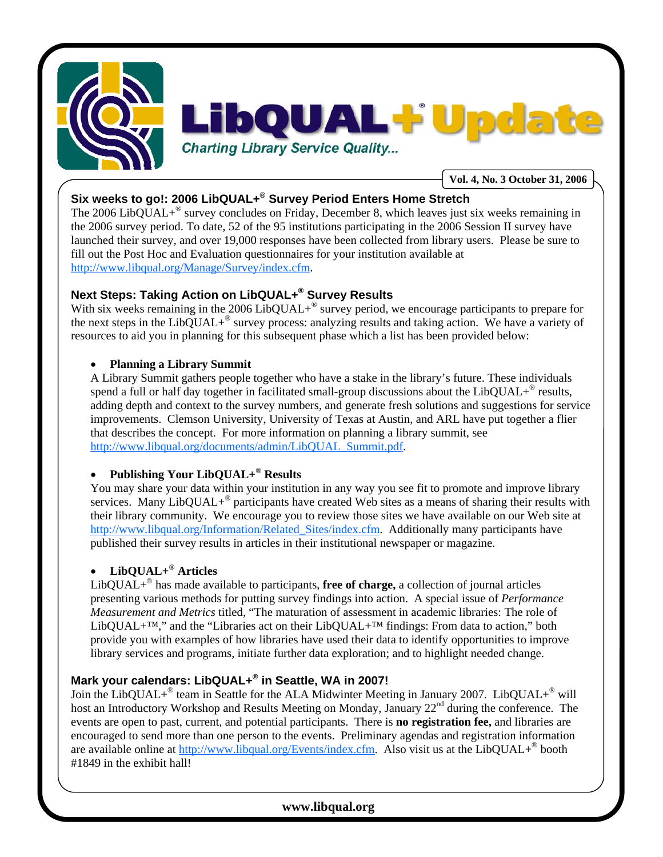

# **Six weeks to go!: 2006 LibQUAL+® Survey Period Enters Home Stretch**

The 2006 LibQUAL+® survey concludes on Friday, December 8, which leaves just six weeks remaining in the 2006 survey period. To date, 52 of the 95 institutions participating in the 2006 Session II survey have launched their survey, and over 19,000 responses have been collected from library users. Please be sure to fill out the Post Hoc and Evaluation questionnaires for your institution available at http://www.libqual.org/Manage/Survey/index.cfm.

# **Next Steps: Taking Action on LibQUAL+® Survey Results**

With six weeks remaining in the 2006 LibQUAL+<sup>®</sup> survey period, we encourage participants to prepare for the next steps in the LibQUAL+® survey process: analyzing results and taking action. We have a variety of resources to aid you in planning for this subsequent phase which a list has been provided below:

#### • **Planning a Library Summit**

A Library Summit gathers people together who have a stake in the library's future. These individuals spend a full or half day together in facilitated small-group discussions about the Lib $\text{OUAL}^*$  results, adding depth and context to the survey numbers, and generate fresh solutions and suggestions for service improvements. Clemson University, University of Texas at Austin, and ARL have put together a flier that describes the concept. For more information on planning a library summit, see http://www.libqual.org/documents/admin/LibQUAL\_Summit.pdf.

### • **Publishing Your LibQUAL+® Results**

You may share your data within your institution in any way you see fit to promote and improve library services. Many LibQUAL+<sup>®</sup> participants have created Web sites as a means of sharing their results with their library community. We encourage you to review those sites we have available on our Web site at http://www.libqual.org/Information/Related Sites/index.cfm. Additionally many participants have published their survey results in articles in their institutional newspaper or magazine.

## • **LibQUAL+® Articles**

LibQUAL+® has made available to participants, **free of charge,** a collection of journal articles presenting various methods for putting survey findings into action. A special issue of *Performance Measurement and Metrics* titled, "The maturation of assessment in academic libraries: The role of LibQUAL+<sup>™</sup>," and the "Libraries act on their LibQUAL+<sup>™</sup> findings: From data to action," both provide you with examples of how libraries have used their data to identify opportunities to improve library services and programs, initiate further data exploration; and to highlight needed change.

## **Mark your calendars: LibQUAL+® in Seattle, WA in 2007!**

Join the LibQUAL+<sup>®</sup> team in Seattle for the ALA Midwinter Meeting in January 2007. LibQUAL+<sup>®</sup> will host an Introductory Workshop and Results Meeting on Monday, January 22<sup>nd</sup> during the conference. The events are open to past, current, and potential participants. There is **no registration fee,** and libraries are encouraged to send more than one person to the events. Preliminary agendas and registration information are available online at http://www.libqual.org/Events/index.cfm. Also visit us at the LibQUAL+<sup>®</sup> booth #1849 in the exhibit hall!

# **www.libqual.org**